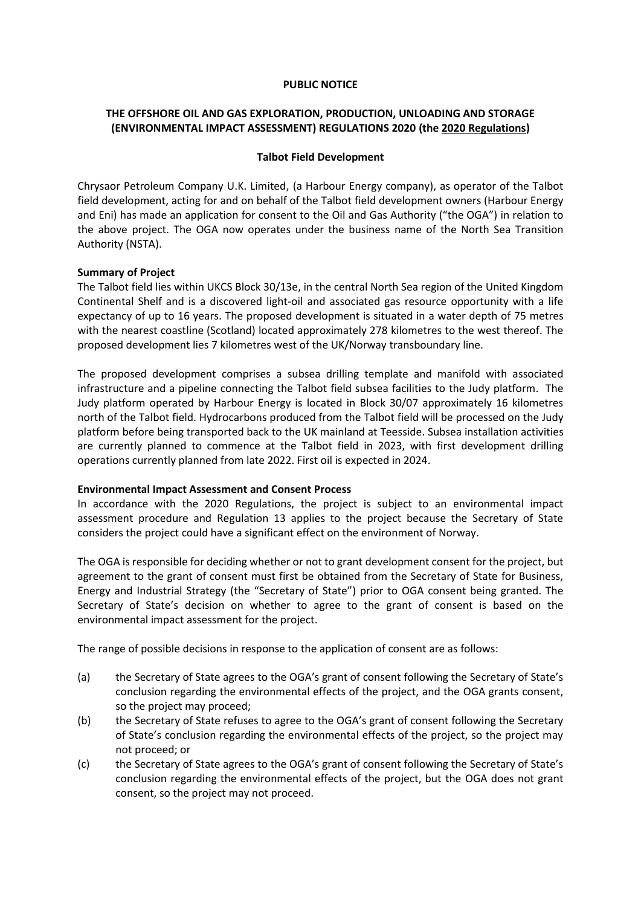#### **PUBLIC NOTICE**

# **THE OFFSHORE OIL AND GAS EXPLORATION, PRODUCTION, UNLOADING AND STORAGE (ENVIRONMENTAL IMPACT ASSESSMENT) REGULATIONS 2020 (the 2020 Regulations)**

## **Talbot Field Development**

Chrysaor Petroleum Company U.K. Limited, (a Harbour Energy company), as operator of the Talbot field development, acting for and on behalf of the Talbot field development owners (Harbour Energy and Eni) has made an application for consent to the Oil and Gas Authority ("the OGA") in relation to the above project. The OGA now operates under the business name of the North Sea Transition Authority (NSTA).

#### **Summary of Project**

The Talbot field lies within UKCS Block 30/13e, in the central North Sea region of the United Kingdom Continental Shelf and is a discovered light-oil and associated gas resource opportunity with a life expectancy of up to 16 years. The proposed development is situated in a water depth of 75 metres with the nearest coastline (Scotland) located approximately 278 kilometres to the west thereof. The proposed development lies 7 kilometres west of the UK/Norway transboundary line.

The proposed development comprises a subsea drilling template and manifold with associated infrastructure and a pipeline connecting the Talbot field subsea facilities to the Judy platform. The Judy platform operated by Harbour Energy is located in Block 30/07 approximately 16 kilometres north of the Talbot field. Hydrocarbons produced from the Talbot field will be processed on the Judy platform before being transported back to the UK mainland at Teesside. Subsea installation activities are currently planned to commence at the Talbot field in 2023, with first development drilling operations currently planned from late 2022. First oil is expected in 2024.

## **Environmental Impact Assessment and Consent Process**

In accordance with the 2020 Regulations, the project is subject to an environmental impact assessment procedure and Regulation 13 applies to the project because the Secretary of State considers the project could have a significant effect on the environment of Norway.

The OGA is responsible for deciding whether or not to grant development consent for the project, but agreement to the grant of consent must first be obtained from the Secretary of State for Business, Energy and Industrial Strategy (the "Secretary of State") prior to OGA consent being granted. The Secretary of State's decision on whether to agree to the grant of consent is based on the environmental impact assessment for the project.

The range of possible decisions in response to the application of consent are as follows:

- (a) the Secretary of State agrees to the OGA's grant of consent following the Secretary of State's conclusion regarding the environmental effects of the project, and the OGA grants consent, so the project may proceed;
- (b) the Secretary of State refuses to agree to the OGA's grant of consent following the Secretary of State's conclusion regarding the environmental effects of the project, so the project may not proceed; or
- (c) the Secretary of State agrees to the OGA's grant of consent following the Secretary of State's conclusion regarding the environmental effects of the project, but the OGA does not grant consent, so the project may not proceed.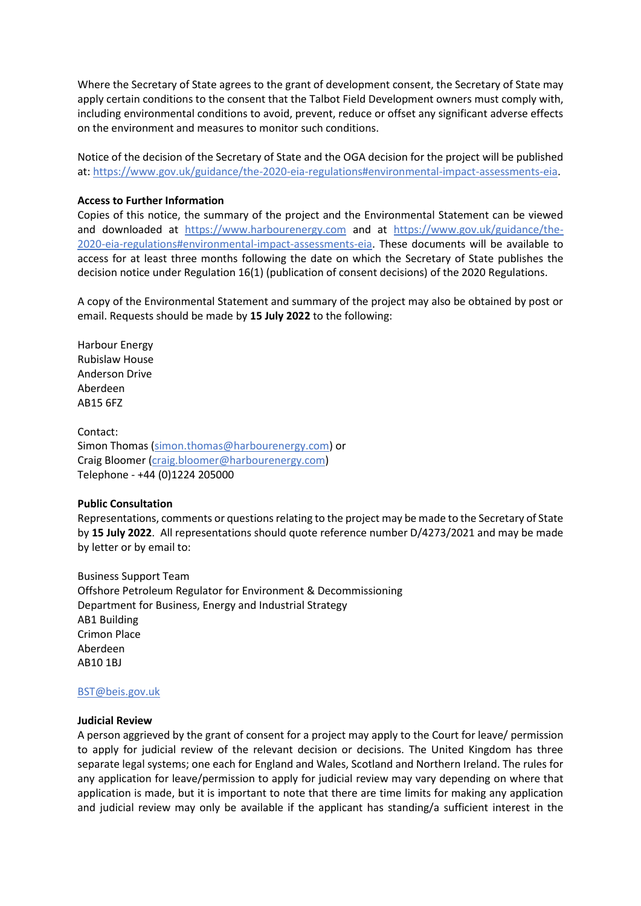Where the Secretary of State agrees to the grant of development consent, the Secretary of State may apply certain conditions to the consent that the Talbot Field Development owners must comply with, including environmental conditions to avoid, prevent, reduce or offset any significant adverse effects on the environment and measures to monitor such conditions.

Notice of the decision of the Secretary of State and the OGA decision for the project will be published at: [https://www.gov.uk/guidance/the-2020-eia-regulations#environmental-impact-assessments-eia.](https://www.gov.uk/guidance/the-2020-eia-regulations#environmental-impact-assessments-eia)

## **Access to Further Information**

Copies of this notice, the summary of the project and the Environmental Statement can be viewed and downloaded at [https://www.harbourenergy.com](https://www.harbourenergy.com/) and at [https://www.gov.uk/guidance/the-](https://www.gov.uk/guidance/the-2020-eia-regulations#environmental-impact-assessments-eia)[2020-eia-regulations#environmental-impact-assessments-eia.](https://www.gov.uk/guidance/the-2020-eia-regulations#environmental-impact-assessments-eia) These documents will be available to access for at least three months following the date on which the Secretary of State publishes the decision notice under Regulation 16(1) (publication of consent decisions) of the 2020 Regulations.

A copy of the Environmental Statement and summary of the project may also be obtained by post or email. Requests should be made by **15 July 2022** to the following:

Harbour Energy Rubislaw House Anderson Drive Aberdeen AB15 6FZ

Contact: Simon Thomas [\(simon.thomas@harbourenergy.com\)](mailto:simon.thomas@harbourenergy.com) or Craig Bloomer [\(craig.bloomer@harbourenergy.com\)](mailto:craig.bloomer@harbourenergy.com) Telephone - +44 (0)1224 205000

#### **Public Consultation**

Representations, comments or questions relating to the project may be made to the Secretary of State by **15 July 2022**. All representations should quote reference number D/4273/2021 and may be made by letter or by email to:

Business Support Team Offshore Petroleum Regulator for Environment & Decommissioning Department for Business, Energy and Industrial Strategy AB1 Building Crimon Place Aberdeen AB10 1BJ

## [BST@beis.gov.uk](mailto:BST@beis.gov.uk)

#### **Judicial Review**

A person aggrieved by the grant of consent for a project may apply to the Court for leave/ permission to apply for judicial review of the relevant decision or decisions. The United Kingdom has three separate legal systems; one each for England and Wales, Scotland and Northern Ireland. The rules for any application for leave/permission to apply for judicial review may vary depending on where that application is made, but it is important to note that there are time limits for making any application and judicial review may only be available if the applicant has standing/a sufficient interest in the